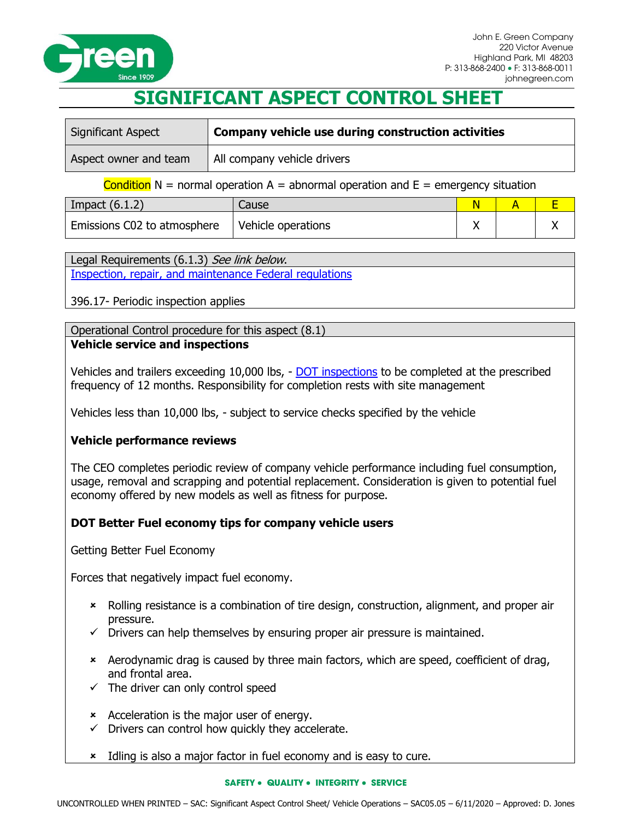

# **SIGNIFICANT ASPECT CONTROL SHEET**

| Significant Aspect    | Company vehicle use during construction activities |  |
|-----------------------|----------------------------------------------------|--|
| Aspect owner and team | All company vehicle drivers                        |  |

**Condition** N = normal operation A = abnormal operation and  $E =$  emergency situation

| Impact $(6.1.2)$            | Cause              |  |  |
|-----------------------------|--------------------|--|--|
| Emissions C02 to atmosphere | Vehicle operations |  |  |

Legal Requirements (6.1.3) See link below. [Inspection, repair, and maintenance Federal regulations](https://www.ecfr.gov/cgi-bin/retrieveECFR?gp=1&ty=HTML&h=L&mc=true&=PART&n=pt49.5.396#se49.5.396_117)

396.17- Periodic inspection applies

Operational Control procedure for this aspect (8.1) **Vehicle service and inspections**

Vehicles and trailers exceeding 10,000 lbs, - [DOT inspections](https://www.ecfr.gov/cgi-bin/retrieveECFR?gp=1&ty=HTML&h=L&mc=true&=PART&n=pt49.5.396) to be completed at the prescribed frequency of 12 months. Responsibility for completion rests with site management

Vehicles less than 10,000 lbs, - subject to service checks specified by the vehicle

## **Vehicle performance reviews**

The CEO completes periodic review of company vehicle performance including fuel consumption, usage, removal and scrapping and potential replacement. Consideration is given to potential fuel economy offered by new models as well as fitness for purpose.

## **DOT Better Fuel economy tips for company vehicle users**

Getting Better Fuel Economy

Forces that negatively impact fuel economy.

- Rolling resistance is a combination of tire design, construction, alignment, and proper air pressure.
- $\checkmark$  Drivers can help themselves by ensuring proper air pressure is maintained.
- Aerodynamic drag is caused by three main factors, which are speed, coefficient of drag, and frontal area.
- $\checkmark$  The driver can only control speed
- Acceleration is the major user of energy.
- $\checkmark$  Drivers can control how quickly they accelerate.
- **\*** Idling is also a major factor in fuel economy and is easy to cure.

### **SAFETY** • **QUALITY** • **INTEGRITY** • **SERVICE**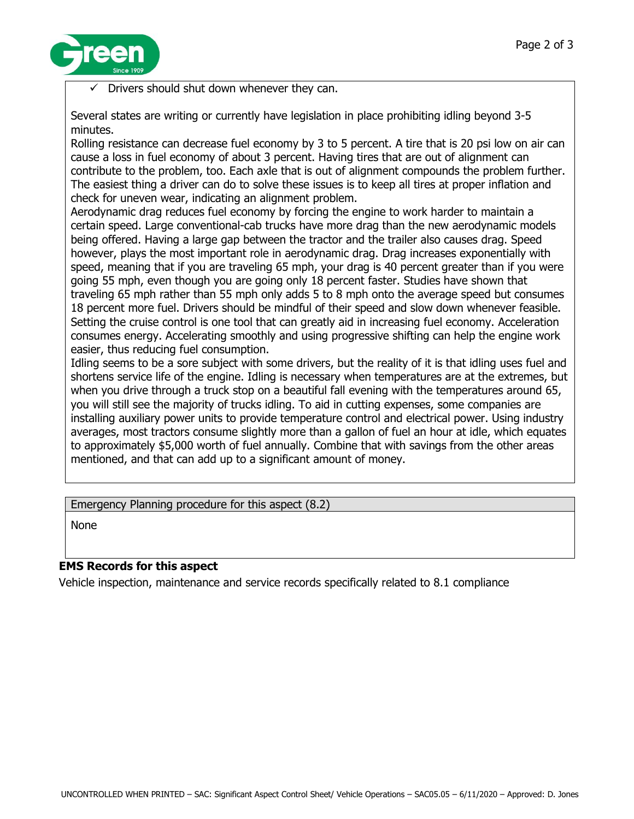

Drivers should shut down whenever they can.

Several states are writing or currently have legislation in place prohibiting idling beyond 3-5 minutes.

Rolling resistance can decrease fuel economy by 3 to 5 percent. A tire that is 20 psi low on air can cause a loss in fuel economy of about 3 percent. Having tires that are out of alignment can contribute to the problem, too. Each axle that is out of alignment compounds the problem further. The easiest thing a driver can do to solve these issues is to keep all tires at proper inflation and check for uneven wear, indicating an alignment problem.

Aerodynamic drag reduces fuel economy by forcing the engine to work harder to maintain a certain speed. Large conventional-cab trucks have more drag than the new aerodynamic models being offered. Having a large gap between the tractor and the trailer also causes drag. Speed however, plays the most important role in aerodynamic drag. Drag increases exponentially with speed, meaning that if you are traveling 65 mph, your drag is 40 percent greater than if you were going 55 mph, even though you are going only 18 percent faster. Studies have shown that traveling 65 mph rather than 55 mph only adds 5 to 8 mph onto the average speed but consumes 18 percent more fuel. Drivers should be mindful of their speed and slow down whenever feasible. Setting the cruise control is one tool that can greatly aid in increasing fuel economy. Acceleration consumes energy. Accelerating smoothly and using progressive shifting can help the engine work easier, thus reducing fuel consumption.

Idling seems to be a sore subject with some drivers, but the reality of it is that idling uses fuel and shortens service life of the engine. Idling is necessary when temperatures are at the extremes, but when you drive through a truck stop on a beautiful fall evening with the temperatures around 65, you will still see the majority of trucks idling. To aid in cutting expenses, some companies are installing auxiliary power units to provide temperature control and electrical power. Using industry averages, most tractors consume slightly more than a gallon of fuel an hour at idle, which equates to approximately \$5,000 worth of fuel annually. Combine that with savings from the other areas mentioned, and that can add up to a significant amount of money.

Emergency Planning procedure for this aspect (8.2)

None

## **EMS Records for this aspect**

Vehicle inspection, maintenance and service records specifically related to 8.1 compliance